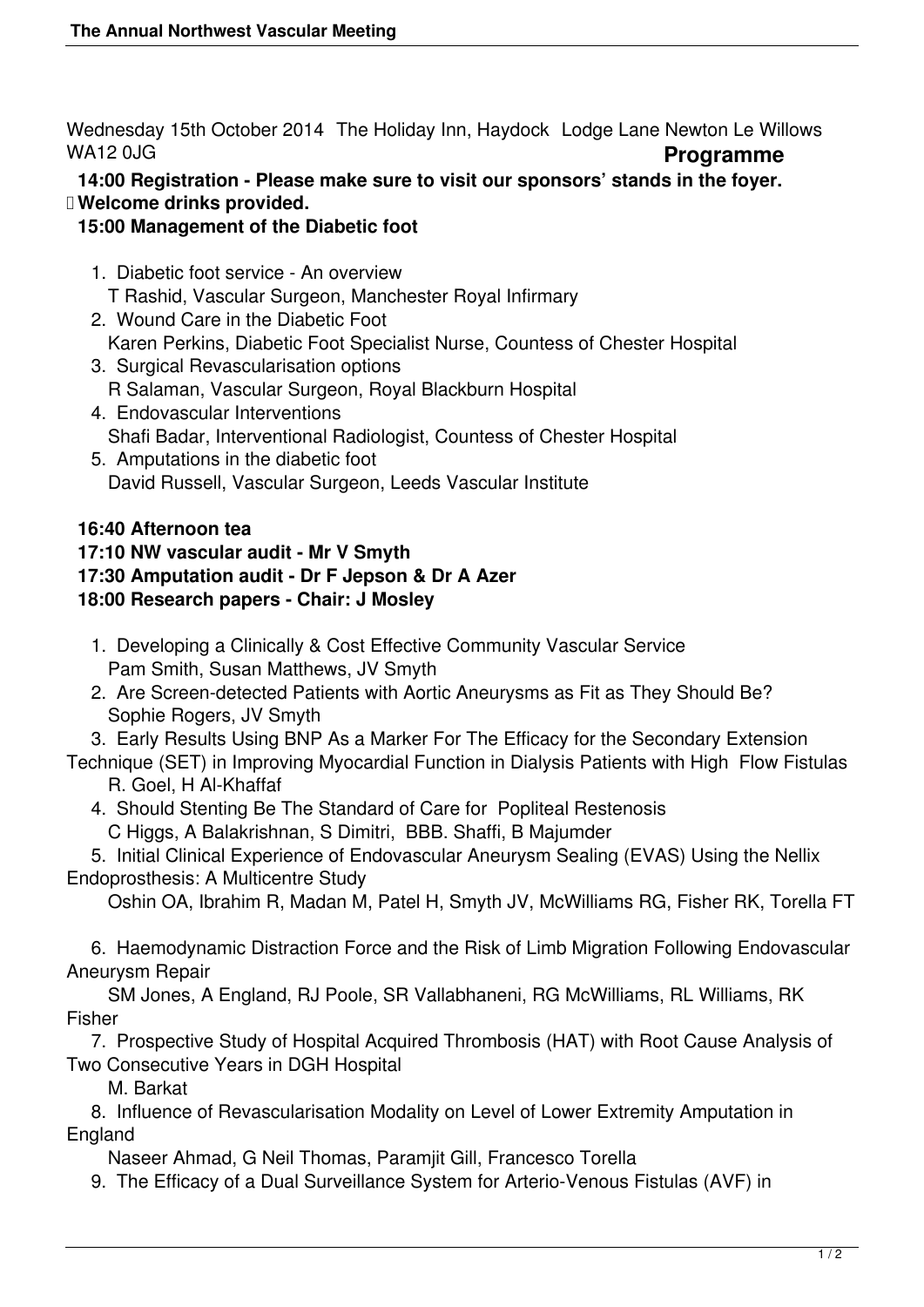Wednesday 15th October 2014 The Holiday Inn, Haydock Lodge Lane Newton Le Willows WA12 0JG **Programme** 

 **14:00 Registration - Please make sure to visit our sponsors' stands in the foyer. Welcome drinks provided.**

#### **15:00 Management of the Diabetic foot**

- 1. Diabetic foot service An overview T Rashid, Vascular Surgeon, Manchester Royal Infirmary
- 2. Wound Care in the Diabetic Foot Karen Perkins, Diabetic Foot Specialist Nurse, Countess of Chester Hospital
- 3. Surgical Revascularisation options R Salaman, Vascular Surgeon, Royal Blackburn Hospital
- 4. Endovascular Interventions Shafi Badar, Interventional Radiologist, Countess of Chester Hospital 5. Amputations in the diabetic foot
- David Russell, Vascular Surgeon, Leeds Vascular Institute

## **16:40 Afternoon tea**

## **17:10 NW vascular audit - Mr V Smyth**

### **17:30 Amputation audit - Dr F Jepson & Dr A Azer**

### **18:00 Research papers - Chair: J Mosley**

- 1. Developing a Clinically & Cost Effective Community Vascular Service Pam Smith, Susan Matthews, JV Smyth
- 2. Are Screen-detected Patients with Aortic Aneurysms as Fit as They Should Be? Sophie Rogers, JV Smyth

3. Early Results Using BNP As a Marker For The Efficacy for the Secondary Extension

- Technique (SET) in Improving Myocardial Function in Dialysis Patients with High Flow Fistulas R. Goel, H Al-Khaffaf
	- 4. Should Stenting Be The Standard of Care for Popliteal Restenosis C Higgs, A Balakrishnan, S Dimitri, BBB. Shaffi, B Majumder

 5. Initial Clinical Experience of Endovascular Aneurysm Sealing (EVAS) Using the Nellix Endoprosthesis: A Multicentre Study

Oshin OA, Ibrahim R, Madan M, Patel H, Smyth JV, McWilliams RG, Fisher RK, Torella FT

 6. Haemodynamic Distraction Force and the Risk of Limb Migration Following Endovascular Aneurysm Repair

SM Jones, A England, RJ Poole, SR Vallabhaneni, RG McWilliams, RL Williams, RK Fisher

 7. Prospective Study of Hospital Acquired Thrombosis (HAT) with Root Cause Analysis of Two Consecutive Years in DGH Hospital

M. Barkat

 8. Influence of Revascularisation Modality on Level of Lower Extremity Amputation in England

Naseer Ahmad, G Neil Thomas, Paramjit Gill, Francesco Torella

9. The Efficacy of a Dual Surveillance System for Arterio-Venous Fistulas (AVF) in